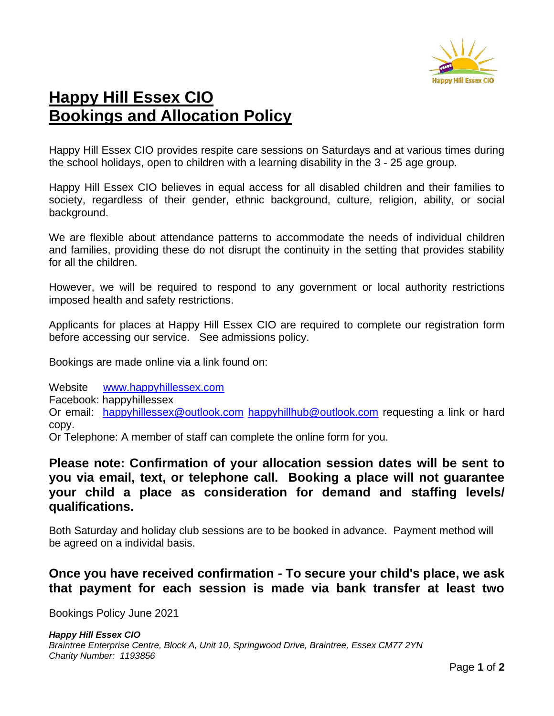

# **Happy Hill Essex CIO Bookings and Allocation Policy**

Happy Hill Essex CIO provides respite care sessions on Saturdays and at various times during the school holidays, open to children with a learning disability in the 3 - 25 age group.

Happy Hill Essex CIO believes in equal access for all disabled children and their families to society, regardless of their gender, ethnic background, culture, religion, ability, or social background.

We are flexible about attendance patterns to accommodate the needs of individual children and families, providing these do not disrupt the continuity in the setting that provides stability for all the children.

However, we will be required to respond to any government or local authority restrictions imposed health and safety restrictions.

Applicants for places at Happy Hill Essex CIO are required to complete our registration form before accessing our service. See admissions policy.

Bookings are made online via a link found on:

Website [www.happyhillessex.com](http://www.happyhillessex.com/) Facebook: happyhillessex Or email: [happyhillessex@outlook.com](mailto:happyhillessex@outlook.com) [happyhillhub@outlook.com](mailto:happyhillhub@outlook.com) requesting a link or hard copy.

Or Telephone: A member of staff can complete the online form for you.

## **Please note: Confirmation of your allocation session dates will be sent to you via email, text, or telephone call. Booking a place will not guarantee your child a place as consideration for demand and staffing levels/ qualifications.**

Both Saturday and holiday club sessions are to be booked in advance. Payment method will be agreed on a individal basis.

## **Once you have received confirmation - To secure your child's place, we ask that payment for each session is made via bank transfer at least two**

Bookings Policy June 2021